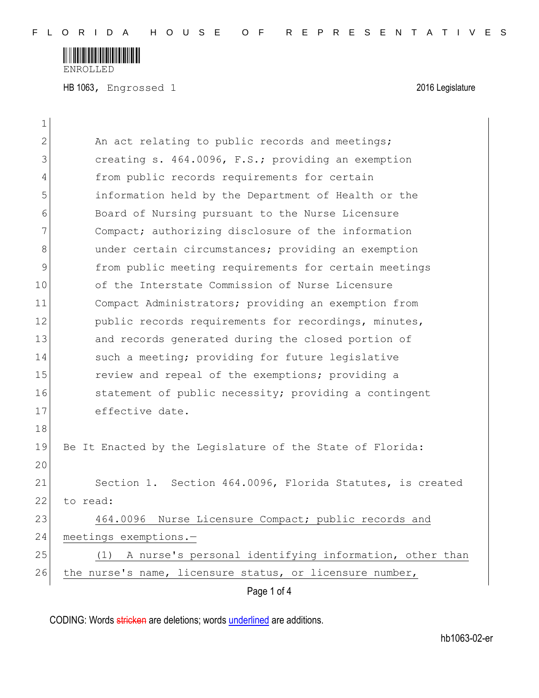

HB 1063, Engrossed 1 2016 Legislature

| 1            |                                                               |
|--------------|---------------------------------------------------------------|
| $\mathbf{2}$ | An act relating to public records and meetings;               |
| 3            | creating s. 464.0096, F.S.; providing an exemption            |
| 4            | from public records requirements for certain                  |
| 5            | information held by the Department of Health or the           |
| 6            | Board of Nursing pursuant to the Nurse Licensure              |
| 7            | Compact; authorizing disclosure of the information            |
| 8            | under certain circumstances; providing an exemption           |
| 9            | from public meeting requirements for certain meetings         |
| 10           | of the Interstate Commission of Nurse Licensure               |
| 11           | Compact Administrators; providing an exemption from           |
| 12           | public records requirements for recordings, minutes,          |
| 13           | and records generated during the closed portion of            |
| 14           | such a meeting; providing for future legislative              |
| 15           | review and repeal of the exemptions; providing a              |
| 16           | statement of public necessity; providing a contingent         |
| 17           | effective date.                                               |
| 18           |                                                               |
| 19           | Be It Enacted by the Legislature of the State of Florida:     |
| 20           |                                                               |
| 21           | Section 1. Section 464.0096, Florida Statutes, is created     |
| 22           | to read:                                                      |
| 23           | 464.0096 Nurse Licensure Compact; public records and          |
| 24           | meetings exemptions.-                                         |
| 25           | A nurse's personal identifying information, other than<br>(1) |
| 26           | the nurse's name, licensure status, or licensure number,      |
|              | Page 1 of 4                                                   |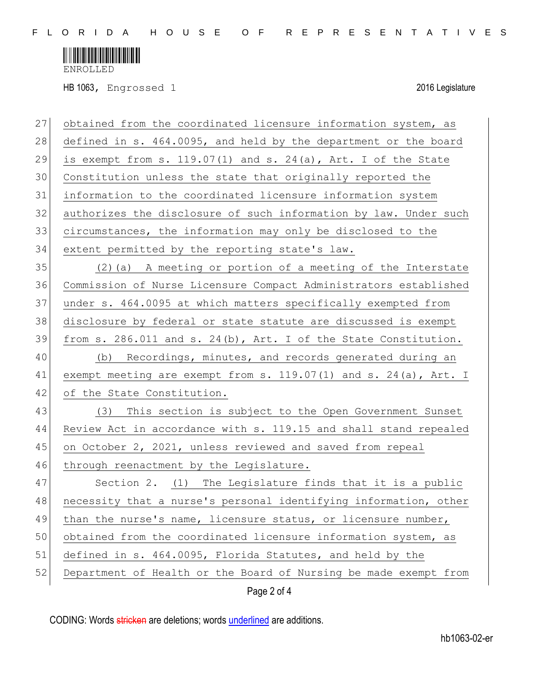

ENROLLED

HB 1063, Engrossed 1 2016 Legislature

| 27 | obtained from the coordinated licensure information system, as     |
|----|--------------------------------------------------------------------|
| 28 | defined in s. 464.0095, and held by the department or the board    |
| 29 | is exempt from s. $119.07(1)$ and s. $24(a)$ , Art. I of the State |
| 30 | Constitution unless the state that originally reported the         |
| 31 | information to the coordinated licensure information system        |
| 32 | authorizes the disclosure of such information by law. Under such   |
| 33 | circumstances, the information may only be disclosed to the        |
| 34 | extent permitted by the reporting state's law.                     |
| 35 | (2) (a) A meeting or portion of a meeting of the Interstate        |
| 36 | Commission of Nurse Licensure Compact Administrators established   |
| 37 | under s. 464.0095 at which matters specifically exempted from      |
| 38 | disclosure by federal or state statute are discussed is exempt     |
| 39 | from s. 286.011 and s. 24(b), Art. I of the State Constitution.    |
| 40 | (b) Recordings, minutes, and records generated during an           |
| 41 | exempt meeting are exempt from s. 119.07(1) and s. 24(a), Art. I   |
| 42 | of the State Constitution.                                         |
| 43 | (3) This section is subject to the Open Government Sunset          |
| 44 | Review Act in accordance with s. 119.15 and shall stand repealed   |
| 45 | on October 2, 2021, unless reviewed and saved from repeal          |
| 46 | through reenactment by the Legislature.                            |
| 47 | Section 2. (1) The Legislature finds that it is a public           |
| 48 | necessity that a nurse's personal identifying information, other   |
| 49 | than the nurse's name, licensure status, or licensure number,      |
| 50 | obtained from the coordinated licensure information system, as     |
| 51 | defined in s. 464.0095, Florida Statutes, and held by the          |
| 52 | Department of Health or the Board of Nursing be made exempt from   |
|    | Page 2 of 4                                                        |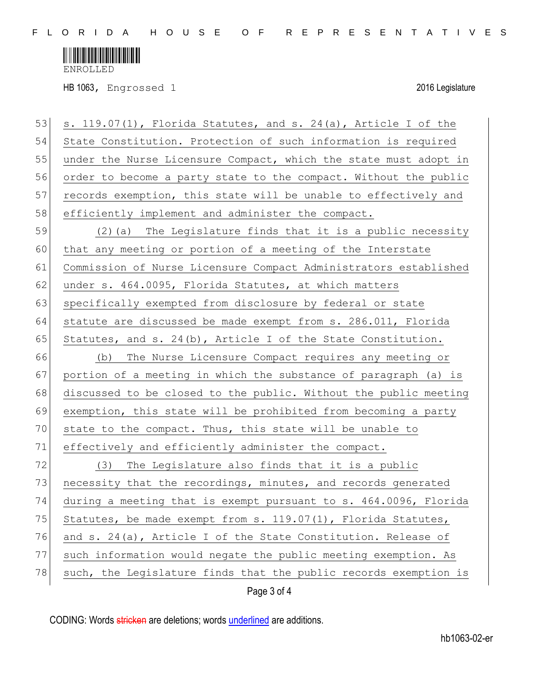

ENROLLED

HB 1063, Engrossed 1 2016 Legislature

| 53 | s. 119.07(1), Florida Statutes, and s. 24(a), Article I of the   |
|----|------------------------------------------------------------------|
| 54 | State Constitution. Protection of such information is required   |
| 55 | under the Nurse Licensure Compact, which the state must adopt in |
| 56 | order to become a party state to the compact. Without the public |
| 57 | records exemption, this state will be unable to effectively and  |
| 58 | efficiently implement and administer the compact.                |
| 59 | (2) (a) The Legislature finds that it is a public necessity      |
| 60 | that any meeting or portion of a meeting of the Interstate       |
| 61 | Commission of Nurse Licensure Compact Administrators established |
| 62 | under s. 464.0095, Florida Statutes, at which matters            |
| 63 | specifically exempted from disclosure by federal or state        |
| 64 | statute are discussed be made exempt from s. 286.011, Florida    |
| 65 | Statutes, and s. 24(b), Article I of the State Constitution.     |
| 66 | (b) The Nurse Licensure Compact requires any meeting or          |
| 67 | portion of a meeting in which the substance of paragraph (a) is  |
| 68 | discussed to be closed to the public. Without the public meeting |
| 69 | exemption, this state will be prohibited from becoming a party   |
| 70 | state to the compact. Thus, this state will be unable to         |
| 71 | effectively and efficiently administer the compact.              |
| 72 | The Legislature also finds that it is a public<br>(3)            |
| 73 | necessity that the recordings, minutes, and records generated    |
| 74 | during a meeting that is exempt pursuant to s. 464.0096, Florida |
| 75 | Statutes, be made exempt from s. 119.07(1), Florida Statutes,    |
| 76 | and s. 24(a), Article I of the State Constitution. Release of    |
| 77 | such information would negate the public meeting exemption. As   |
| 78 | such, the Legislature finds that the public records exemption is |
|    | Page 3 of 4                                                      |